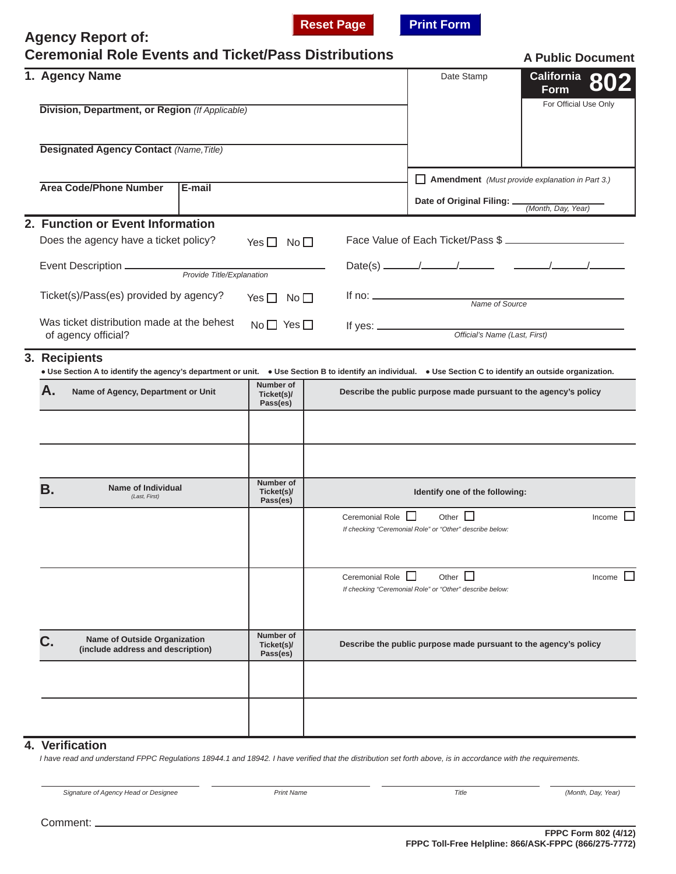**Reset Page Print Form** 

|    | <b>Agency Report of:</b><br><b>Ceremonial Role Events and Ticket/Pass Distributions</b>                                                                                           |                                                                        |                                                                  |                                                                             | <b>A Public Document</b>                        |  |  |
|----|-----------------------------------------------------------------------------------------------------------------------------------------------------------------------------------|------------------------------------------------------------------------|------------------------------------------------------------------|-----------------------------------------------------------------------------|-------------------------------------------------|--|--|
|    | 1. Agency Name<br>Division, Department, or Region (If Applicable)                                                                                                                 |                                                                        |                                                                  | Date Stamp                                                                  | California 802<br>Form<br>For Official Use Only |  |  |
|    |                                                                                                                                                                                   |                                                                        |                                                                  |                                                                             |                                                 |  |  |
|    | <b>Designated Agency Contact (Name, Title)</b>                                                                                                                                    |                                                                        |                                                                  |                                                                             |                                                 |  |  |
|    | <b>Area Code/Phone Number</b><br>E-mail                                                                                                                                           | <b>Amendment</b> (Must provide explanation in Part 3.)<br>$\mathsf{L}$ |                                                                  |                                                                             |                                                 |  |  |
|    |                                                                                                                                                                                   |                                                                        |                                                                  | Date of Original Filing: _                                                  | (Month, Day, Year)                              |  |  |
|    | 2. Function or Event Information                                                                                                                                                  |                                                                        |                                                                  |                                                                             |                                                 |  |  |
|    | Does the agency have a ticket policy?                                                                                                                                             | Yes $\Box$ No $\Box$                                                   |                                                                  |                                                                             | Face Value of Each Ticket/Pass \$               |  |  |
|    |                                                                                                                                                                                   |                                                                        |                                                                  |                                                                             |                                                 |  |  |
|    | Ticket(s)/Pass(es) provided by agency?                                                                                                                                            | Yes $\Box$ No $\Box$                                                   |                                                                  | If no: <u>Name of Source</u>                                                |                                                 |  |  |
|    | Was ticket distribution made at the behest<br>$No \Box Yes \Box$<br>of agency official?                                                                                           |                                                                        |                                                                  | If yes: $\frac{1}{2}$<br>Official's Name (Last, First)                      |                                                 |  |  |
| 3. | <b>Recipients</b><br>• Use Section A to identify the agency's department or unit. • Use Section B to identify an individual. • Use Section C to identify an outside organization. |                                                                        |                                                                  |                                                                             |                                                 |  |  |
|    | А.<br>Name of Agency, Department or Unit                                                                                                                                          | Number of<br>Ticket(s)/<br>Pass(es)                                    | Describe the public purpose made pursuant to the agency's policy |                                                                             |                                                 |  |  |
|    |                                                                                                                                                                                   |                                                                        |                                                                  |                                                                             |                                                 |  |  |
|    | <b>Name of Individual</b><br>В.<br>(Last, First)                                                                                                                                  | Number of<br>Ticket(s)/<br>Pass(es)                                    |                                                                  | Identify one of the following:                                              |                                                 |  |  |
|    |                                                                                                                                                                                   |                                                                        | Ceremonial Role                                                  | Other $\square$<br>If checking "Ceremonial Role" or "Other" describe below: | Income $\Box$                                   |  |  |
|    |                                                                                                                                                                                   |                                                                        | Ceremonial Role                                                  | Other $\Box$<br>If checking "Ceremonial Role" or "Other" describe below:    | Income $\Box$                                   |  |  |
|    | <b>Name of Outside Organization</b><br>(include address and description)                                                                                                          | Number of<br>Ticket(s)/<br>Pass(es)                                    |                                                                  | Describe the public purpose made pursuant to the agency's policy            |                                                 |  |  |
|    |                                                                                                                                                                                   |                                                                        |                                                                  |                                                                             |                                                 |  |  |
|    |                                                                                                                                                                                   |                                                                        |                                                                  |                                                                             |                                                 |  |  |
|    | 4. Verification                                                                                                                                                                   |                                                                        |                                                                  |                                                                             |                                                 |  |  |

*I have read and understand FPPC Regulations 18944.1 and 18942. I have verified that the distribution set forth above, is in accordance with the requirements.* 

*Signature of Agency Head or Designee Print Name Title (Month, Day, Year)*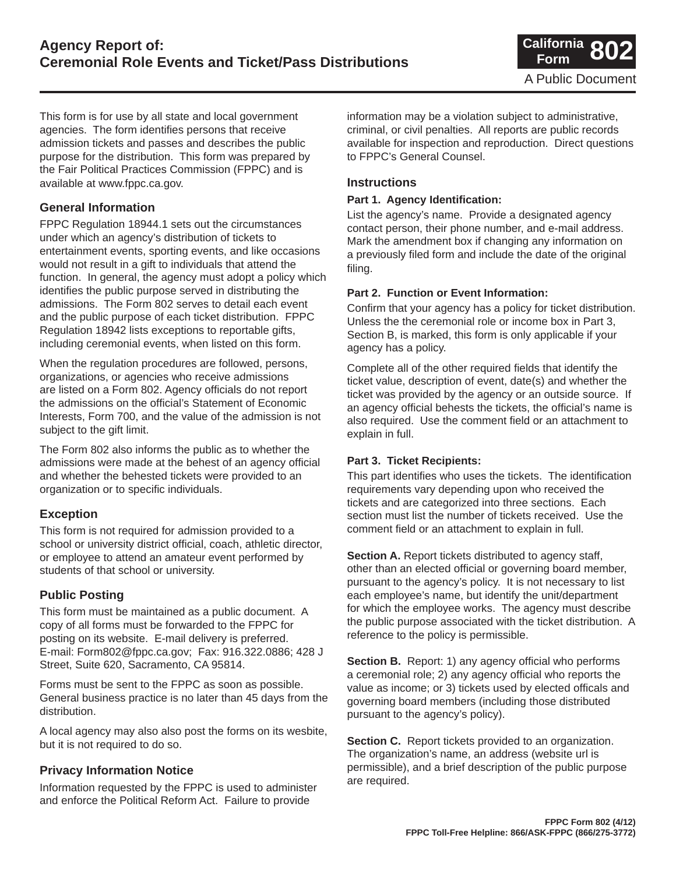This form is for use by all state and local government agencies. The form identifies persons that receive admission tickets and passes and describes the public purpose for the distribution. This form was prepared by the Fair Political Practices Commission (FPPC) and is available at www.fppc.ca.gov.

## **General Information**

FPPC Regulation 18944.1 sets out the circumstances under which an agency's distribution of tickets to entertainment events, sporting events, and like occasions would not result in a gift to individuals that attend the function. In general, the agency must adopt a policy which identifies the public purpose served in distributing the admissions. The Form 802 serves to detail each event and the public purpose of each ticket distribution. FPPC Regulation 18942 lists exceptions to reportable gifts, including ceremonial events, when listed on this form.

When the regulation procedures are followed, persons, organizations, or agencies who receive admissions are listed on a Form 802. Agency officials do not report the admissions on the official's Statement of Economic Interests, Form 700, and the value of the admission is not subject to the gift limit.

The Form 802 also informs the public as to whether the admissions were made at the behest of an agency official and whether the behested tickets were provided to an organization or to specific individuals.

## **Exception**

This form is not required for admission provided to a school or university district official, coach, athletic director, or employee to attend an amateur event performed by students of that school or university.

## **Public Posting**

This form must be maintained as a public document. A copy of all forms must be forwarded to the FPPC for posting on its website. E-mail delivery is preferred. E-mail: Form802@fppc.ca.gov; Fax: 916.322.0886; 428 J Street, Suite 620, Sacramento, CA 95814.

Forms must be sent to the FPPC as soon as possible. General business practice is no later than 45 days from the distribution.

A local agency may also also post the forms on its wesbite, but it is not required to do so.

## **Privacy Information Notice**

Information requested by the FPPC is used to administer and enforce the Political Reform Act. Failure to provide

information may be a violation subject to administrative, criminal, or civil penalties. All reports are public records available for inspection and reproduction. Direct questions to FPPC's General Counsel.

## **Instructions**

#### **Part 1. Agency Identification:**

List the agency's name. Provide a designated agency contact person, their phone number, and e-mail address. Mark the amendment box if changing any information on a previously filed form and include the date of the original filing.

#### **Part 2. Function or Event Information:**

Confirm that your agency has a policy for ticket distribution. Unless the the ceremonial role or income box in Part 3, Section B, is marked, this form is only applicable if your agency has a policy.

Complete all of the other required fields that identify the ticket value, description of event, date(s) and whether the ticket was provided by the agency or an outside source. If an agency official behests the tickets, the official's name is also required. Use the comment field or an attachment to explain in full.

#### **Part 3. Ticket Recipients:**

This part identifies who uses the tickets. The identification requirements vary depending upon who received the tickets and are categorized into three sections. Each section must list the number of tickets received. Use the comment field or an attachment to explain in full.

**Section A.** Report tickets distributed to agency staff, other than an elected official or governing board member, pursuant to the agency's policy. It is not necessary to list each employee's name, but identify the unit/department for which the employee works. The agency must describe the public purpose associated with the ticket distribution. A reference to the policy is permissible.

**Section B.** Report: 1) any agency official who performs a ceremonial role; 2) any agency official who reports the value as income; or 3) tickets used by elected officals and governing board members (including those distributed pursuant to the agency's policy).

**Section C.** Report tickets provided to an organization. The organization's name, an address (website url is permissible), and a brief description of the public purpose are required.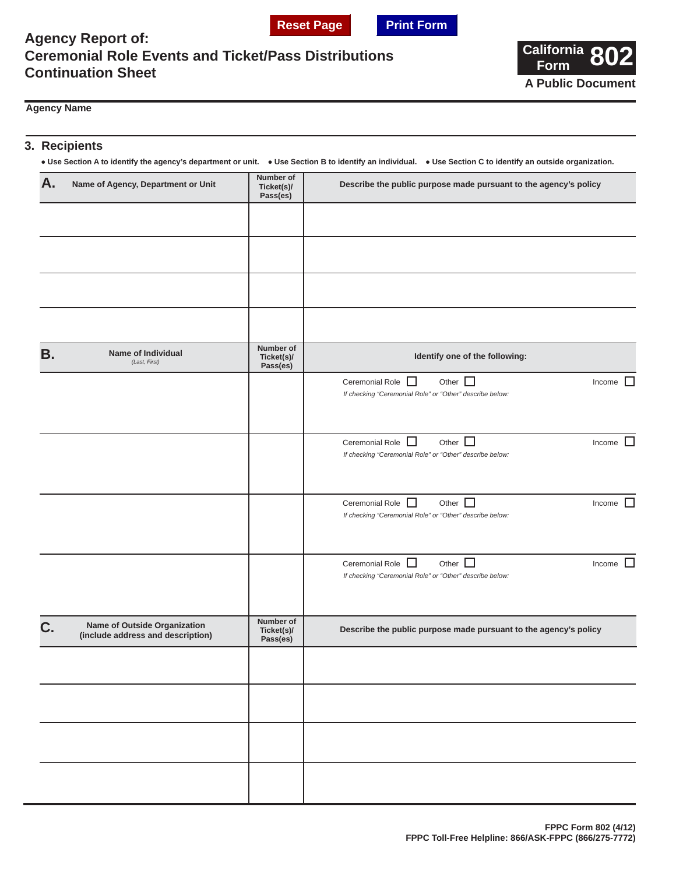



## **Agency Report of: Ceremonial Role Events and Ticket/Pass Distributions Continuation Sheet**



#### **Agency Name**

## **3. Recipients**

**● Use Section A to identify the agency's department or unit. ● Use Section B to identify an individual. ● Use Section C to identify an outside organization.**

| Α. | Name of Agency, Department or Unit                                | <b>Number of</b><br>Ticket(s)/<br>Pass(es) | Describe the public purpose made pursuant to the agency's policy                                                    |  |  |
|----|-------------------------------------------------------------------|--------------------------------------------|---------------------------------------------------------------------------------------------------------------------|--|--|
|    |                                                                   |                                            |                                                                                                                     |  |  |
|    |                                                                   |                                            |                                                                                                                     |  |  |
|    |                                                                   |                                            |                                                                                                                     |  |  |
|    |                                                                   |                                            |                                                                                                                     |  |  |
| В. | Name of Individual<br>(Last, First)                               | Number of<br>Ticket(s)/<br>Pass(es)        | Identify one of the following:                                                                                      |  |  |
|    |                                                                   |                                            | Other $\square$<br>Ceremonial Role U<br>Income $\Box$<br>If checking "Ceremonial Role" or "Other" describe below:   |  |  |
|    |                                                                   |                                            | Other $\Box$<br>Ceremonial Role<br>Income<br>If checking "Ceremonial Role" or "Other" describe below:               |  |  |
|    |                                                                   |                                            | Other $\square$<br>Ceremonial Role<br>Income $\Box$<br>If checking "Ceremonial Role" or "Other" describe below:     |  |  |
|    |                                                                   |                                            | Other $\Box$<br>Ceremonial Role $\Box$<br>Income $\Box$<br>If checking "Ceremonial Role" or "Other" describe below: |  |  |
| C. | Name of Outside Organization<br>(include address and description) | Number of<br>Ticket(s)/<br>Pass(es)        | Describe the public purpose made pursuant to the agency's policy                                                    |  |  |
|    |                                                                   |                                            |                                                                                                                     |  |  |
|    |                                                                   |                                            |                                                                                                                     |  |  |
|    |                                                                   |                                            |                                                                                                                     |  |  |
|    |                                                                   |                                            |                                                                                                                     |  |  |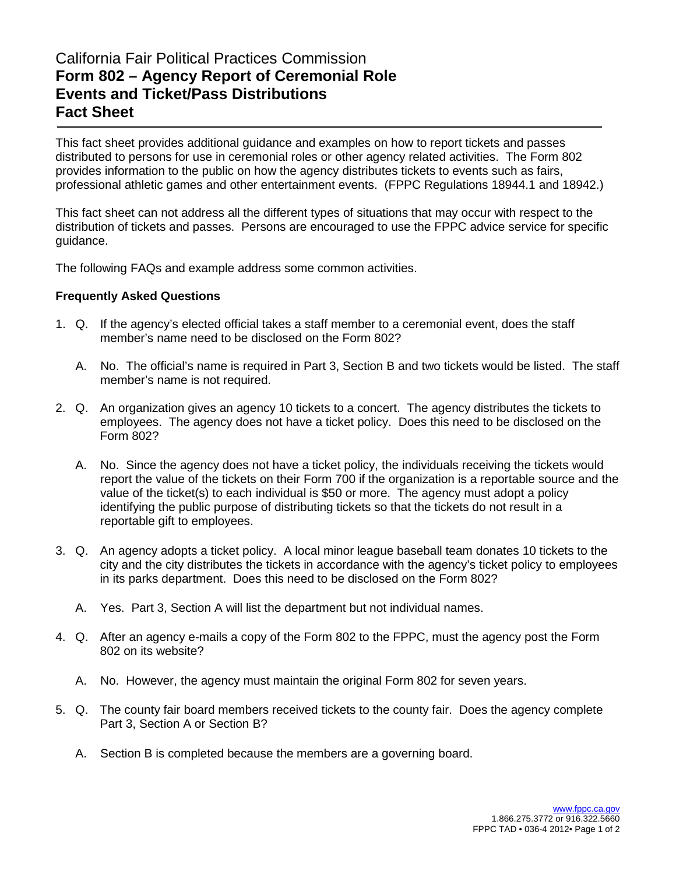# California Fair Political Practices Commission **Form 802 – Agency Report of Ceremonial Role Events and Ticket/Pass Distributions Fact Sheet**

This fact sheet provides additional guidance and examples on how to report tickets and passes distributed to persons for use in ceremonial roles or other agency related activities. The Form 802 provides information to the public on how the agency distributes tickets to events such as fairs, professional athletic games and other entertainment events. (FPPC Regulations 18944.1 and 18942.)

This fact sheet can not address all the different types of situations that may occur with respect to the distribution of tickets and passes. Persons are encouraged to use the FPPC advice service for specific guidance.

The following FAQs and example address some common activities.

## **Frequently Asked Questions**

- 1. Q. If the agency's elected official takes a staff member to a ceremonial event, does the staff member's name need to be disclosed on the Form 802?
	- A. No. The official's name is required in Part 3, Section B and two tickets would be listed. The staff member's name is not required.
- 2. Q. An organization gives an agency 10 tickets to a concert. The agency distributes the tickets to employees. The agency does not have a ticket policy. Does this need to be disclosed on the Form 802?
	- A. No. Since the agency does not have a ticket policy, the individuals receiving the tickets would report the value of the tickets on their Form 700 if the organization is a reportable source and the value of the ticket(s) to each individual is \$50 or more. The agency must adopt a policy identifying the public purpose of distributing tickets so that the tickets do not result in a reportable gift to employees.
- 3. Q. An agency adopts a ticket policy. A local minor league baseball team donates 10 tickets to the city and the city distributes the tickets in accordance with the agency's ticket policy to employees in its parks department. Does this need to be disclosed on the Form 802?
	- A. Yes. Part 3, Section A will list the department but not individual names.
- 4. Q. After an agency e-mails a copy of the Form 802 to the FPPC, must the agency post the Form 802 on its website?
	- A. No. However, the agency must maintain the original Form 802 for seven years.
- 5. Q. The county fair board members received tickets to the county fair. Does the agency complete Part 3, Section A or Section B?
	- A. Section B is completed because the members are a governing board.